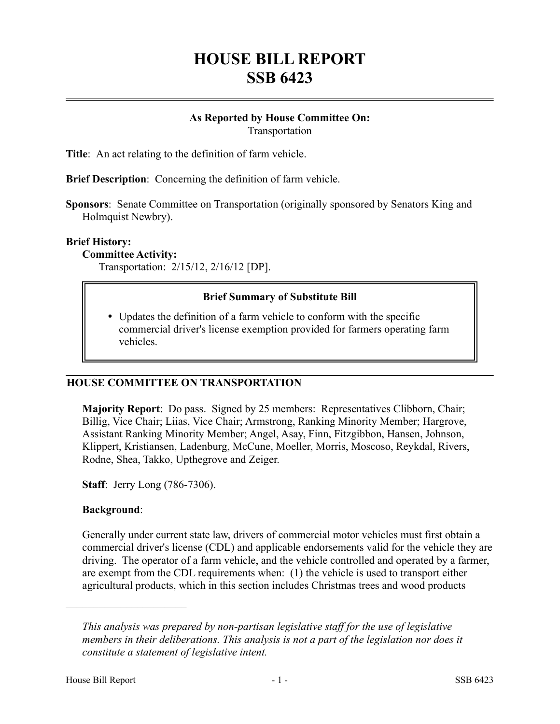# **HOUSE BILL REPORT SSB 6423**

#### **As Reported by House Committee On:** Transportation

**Title**: An act relating to the definition of farm vehicle.

**Brief Description**: Concerning the definition of farm vehicle.

**Sponsors**: Senate Committee on Transportation (originally sponsored by Senators King and Holmquist Newbry).

#### **Brief History:**

**Committee Activity:**

Transportation: 2/15/12, 2/16/12 [DP].

## **Brief Summary of Substitute Bill**

 Updates the definition of a farm vehicle to conform with the specific commercial driver's license exemption provided for farmers operating farm vehicles.

## **HOUSE COMMITTEE ON TRANSPORTATION**

**Majority Report**: Do pass. Signed by 25 members: Representatives Clibborn, Chair; Billig, Vice Chair; Liias, Vice Chair; Armstrong, Ranking Minority Member; Hargrove, Assistant Ranking Minority Member; Angel, Asay, Finn, Fitzgibbon, Hansen, Johnson, Klippert, Kristiansen, Ladenburg, McCune, Moeller, Morris, Moscoso, Reykdal, Rivers, Rodne, Shea, Takko, Upthegrove and Zeiger.

**Staff**: Jerry Long (786-7306).

## **Background**:

––––––––––––––––––––––

Generally under current state law, drivers of commercial motor vehicles must first obtain a commercial driver's license (CDL) and applicable endorsements valid for the vehicle they are driving. The operator of a farm vehicle, and the vehicle controlled and operated by a farmer, are exempt from the CDL requirements when: (1) the vehicle is used to transport either agricultural products, which in this section includes Christmas trees and wood products

*This analysis was prepared by non-partisan legislative staff for the use of legislative members in their deliberations. This analysis is not a part of the legislation nor does it constitute a statement of legislative intent.*